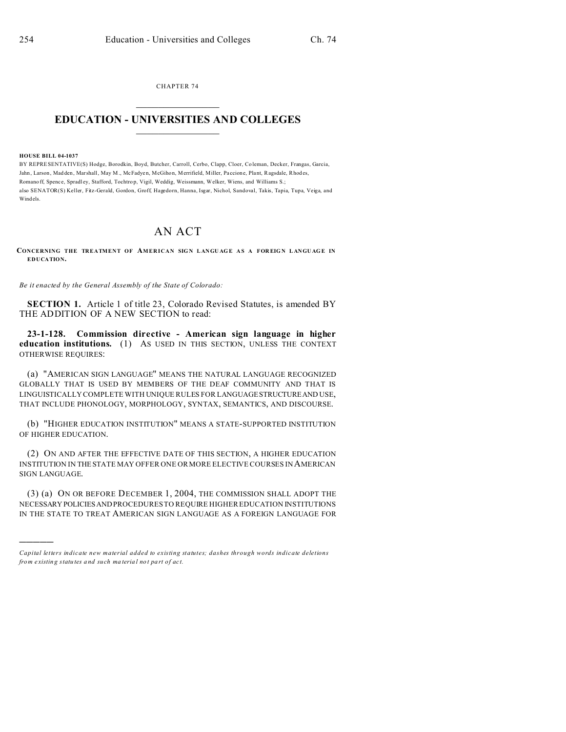CHAPTER 74  $\overline{\phantom{a}}$  , where  $\overline{\phantom{a}}$ 

## **EDUCATION - UNIVERSITIES AND COLLEGES**  $\frac{1}{2}$  ,  $\frac{1}{2}$  ,  $\frac{1}{2}$  ,  $\frac{1}{2}$  ,  $\frac{1}{2}$  ,  $\frac{1}{2}$  ,  $\frac{1}{2}$

**HOUSE BILL 04-1037**

)))))

BY REPRESENTATIVE(S) Hodge, Borodkin, Boyd, Butcher, Carroll, Cerbo, Clapp, Cloer, Co leman, Decker, Frangas, Garcia, Jahn, Larson, Madden, Marshall, May M., McFadyen, McGihon, Merrifield, Miller, Paccione, Plant, Ragsdale, Rhodes, Romano ff, Spence, Spradley, Stafford, Tochtrop, Vigil, Weddig, Weissmann, Welker, Wiens, and Williams S.; also SENATOR(S) Keller, Fitz-Gerald, Gordon, Groff, Hagedorn, Hanna, Isgar, Nichol, Sandoval, Takis, Tapia, Tupa, Veiga, and Windels.

## AN ACT

**CONCERNING THE TREATMENT OF AMERICAN SIG N L ANGU AG E A S A FOR EIG N L ANGU AG E IN EDUCATION.**

*Be it enacted by the General Assembly of the State of Colorado:*

**SECTION 1.** Article 1 of title 23, Colorado Revised Statutes, is amended BY THE ADDITION OF A NEW SECTION to read:

**23-1-128. Commission directive - American sign language in higher education institutions.** (1) AS USED IN THIS SECTION, UNLESS THE CONTEXT OTHERWISE REQUIRES:

(a) "AMERICAN SIGN LANGUAGE" MEANS THE NATURAL LANGUAGE RECOGNIZED GLOBALLY THAT IS USED BY MEMBERS OF THE DEAF COMMUNITY AND THAT IS LINGUISTICALLY COMPLETE WITH UNIQUE RULES FOR LANGUAGESTRUCTUREAND USE, THAT INCLUDE PHONOLOGY, MORPHOLOGY, SYNTAX, SEMANTICS, AND DISCOURSE.

(b) "HIGHER EDUCATION INSTITUTION" MEANS A STATE-SUPPORTED INSTITUTION OF HIGHER EDUCATION.

(2) ON AND AFTER THE EFFECTIVE DATE OF THIS SECTION, A HIGHER EDUCATION INSTITUTION IN THESTATE MAY OFFER ONE OR MORE ELECTIVE COURSES IN AMERICAN SIGN LANGUAGE.

(3) (a) ON OR BEFORE DECEMBER 1, 2004, THE COMMISSION SHALL ADOPT THE NECESSARY POLICIESAND PROCEDURES TO REQUIRE HIGHER EDUCATION INSTITUTIONS IN THE STATE TO TREAT AMERICAN SIGN LANGUAGE AS A FOREIGN LANGUAGE FOR

*Capital letters indicate new material added to existing statutes; dashes through words indicate deletions from e xistin g statu tes a nd such ma teria l no t pa rt of ac t.*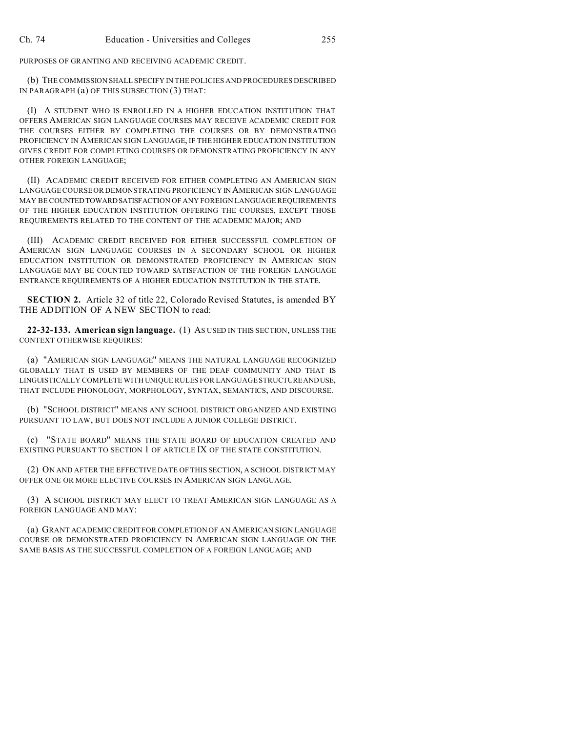PURPOSES OF GRANTING AND RECEIVING ACADEMIC CREDIT.

(b) THE COMMISSION SHALL SPECIFY IN THE POLICIES AND PROCEDURES DESCRIBED IN PARAGRAPH (a) OF THIS SUBSECTION (3) THAT:

(I) A STUDENT WHO IS ENROLLED IN A HIGHER EDUCATION INSTITUTION THAT OFFERS AMERICAN SIGN LANGUAGE COURSES MAY RECEIVE ACADEMIC CREDIT FOR THE COURSES EITHER BY COMPLETING THE COURSES OR BY DEMONSTRATING PROFICIENCY IN AMERICAN SIGN LANGUAGE, IF THE HIGHER EDUCATION INSTITUTION GIVES CREDIT FOR COMPLETING COURSES OR DEMONSTRATING PROFICIENCY IN ANY OTHER FOREIGN LANGUAGE;

(II) ACADEMIC CREDIT RECEIVED FOR EITHER COMPLETING AN AMERICAN SIGN LANGUAGE COURSE OR DEMONSTRATING PROFICIENCY IN AMERICAN SIGN LANGUAGE MAY BE COUNTEDTOWARDSATISFACTION OF ANY FOREIGN LANGUAGE REQUIREMENTS OF THE HIGHER EDUCATION INSTITUTION OFFERING THE COURSES, EXCEPT THOSE REQUIREMENTS RELATED TO THE CONTENT OF THE ACADEMIC MAJOR; AND

(III) ACADEMIC CREDIT RECEIVED FOR EITHER SUCCESSFUL COMPLETION OF AMERICAN SIGN LANGUAGE COURSES IN A SECONDARY SCHOOL OR HIGHER EDUCATION INSTITUTION OR DEMONSTRATED PROFICIENCY IN AMERICAN SIGN LANGUAGE MAY BE COUNTED TOWARD SATISFACTION OF THE FOREIGN LANGUAGE ENTRANCE REQUIREMENTS OF A HIGHER EDUCATION INSTITUTION IN THE STATE.

**SECTION 2.** Article 32 of title 22, Colorado Revised Statutes, is amended BY THE ADDITION OF A NEW SECTION to read:

**22-32-133. American sign language.** (1) AS USED IN THIS SECTION, UNLESS THE CONTEXT OTHERWISE REQUIRES:

(a) "AMERICAN SIGN LANGUAGE" MEANS THE NATURAL LANGUAGE RECOGNIZED GLOBALLY THAT IS USED BY MEMBERS OF THE DEAF COMMUNITY AND THAT IS LINGUISTICALLY COMPLETE WITH UNIQUE RULES FOR LANGUAGE STRUCTUREANDUSE, THAT INCLUDE PHONOLOGY, MORPHOLOGY, SYNTAX, SEMANTICS, AND DISCOURSE.

(b) "SCHOOL DISTRICT" MEANS ANY SCHOOL DISTRICT ORGANIZED AND EXISTING PURSUANT TO LAW, BUT DOES NOT INCLUDE A JUNIOR COLLEGE DISTRICT.

(c) "STATE BOARD" MEANS THE STATE BOARD OF EDUCATION CREATED AND EXISTING PURSUANT TO SECTION 1 OF ARTICLE IX OF THE STATE CONSTITUTION.

(2) ON AND AFTER THE EFFECTIVE DATE OF THIS SECTION, A SCHOOL DISTRICT MAY OFFER ONE OR MORE ELECTIVE COURSES IN AMERICAN SIGN LANGUAGE.

(3) A SCHOOL DISTRICT MAY ELECT TO TREAT AMERICAN SIGN LANGUAGE AS A FOREIGN LANGUAGE AND MAY:

(a) GRANT ACADEMIC CREDIT FOR COMPLETION OF AN AMERICAN SIGN LANGUAGE COURSE OR DEMONSTRATED PROFICIENCY IN AMERICAN SIGN LANGUAGE ON THE SAME BASIS AS THE SUCCESSFUL COMPLETION OF A FOREIGN LANGUAGE; AND